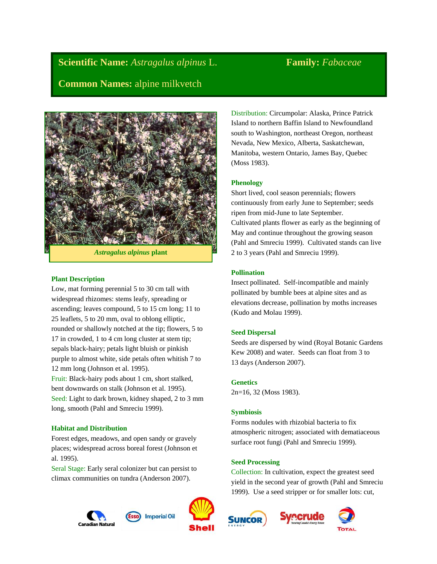**Scientific Name:** *Astragalus alpinus* L. **Family:** *Fabaceae* **Common Names:** alpine milkvetch



*Astragalus alpinus* **plant**

### **Plant Description**

Low, mat forming perennial 5 to 30 cm tall with widespread rhizomes: stems leafy, spreading or ascending; leaves compound, 5 to 15 cm long; 11 to 25 leaflets, 5 to 20 mm, oval to oblong elliptic, rounded or shallowly notched at the tip; flowers, 5 to 17 in crowded, 1 to 4 cm long cluster at stem tip; sepals black-hairy; petals light bluish or pinkish purple to almost white, side petals often whitish 7 to 12 mm long (Johnson et al. 1995). Fruit: Black-hairy pods about 1 cm, short stalked,

bent downwards on stalk (Johnson et al. 1995). Seed: Light to dark brown, kidney shaped, 2 to 3 mm long, smooth (Pahl and Smreciu 1999).

## **Habitat and Distribution**

Forest edges, meadows, and open sandy or gravely places; widespread across boreal forest (Johnson et al. 1995).

Seral Stage: Early seral colonizer but can persist to climax communities on tundra (Anderson 2007).





Distribution: Circumpolar: Alaska, Prince Patrick Island to northern Baffin Island to Newfoundland south to Washington, northeast Oregon, northeast Nevada, New Mexico, Alberta, Saskatchewan, Manitoba, western Ontario, James Bay, Quebec (Moss 1983).

### **Phenology**

Short lived, cool season perennials; flowers continuously from early June to September; seeds ripen from mid-June to late September. Cultivated plants flower as early as the beginning of May and continue throughout the growing season (Pahl and Smreciu 1999). Cultivated stands can live 2 to 3 years (Pahl and Smreciu 1999).

#### **Pollination**

Insect pollinated. Self-incompatible and mainly pollinated by bumble bees at alpine sites and as elevations decrease, pollination by moths increases (Kudo and Molau 1999).

#### **Seed Dispersal**

Seeds are dispersed by wind (Royal Botanic Gardens Kew 2008) and water. Seeds can float from 3 to 13 days (Anderson 2007).

#### **Genetics**

2n=16, 32 (Moss 1983).

#### **Symbiosis**

Forms nodules with rhizobial bacteria to fix atmospheric nitrogen; associated with dematiaceous surface root fungi (Pahl and Smreciu 1999).

#### **Seed Processing**

Collection: In cultivation, expect the greatest seed yield in the second year of growth (Pahl and Smreciu 1999). Use a seed stripper or for smaller lots: cut,





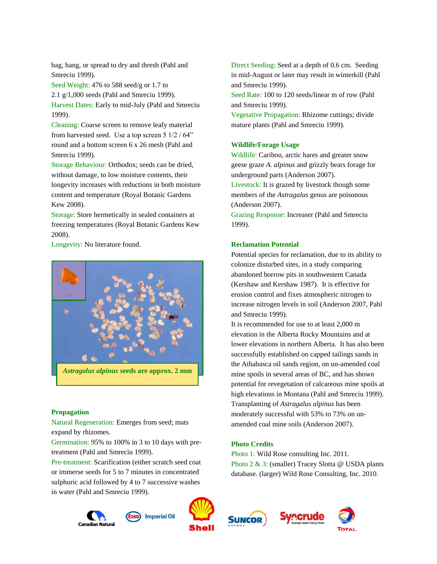bag, hang, or spread to dry and thresh (Pahl and Smreciu 1999).

Seed Weight: 476 to 588 seed/g or 1.7 to 2.1 g/1,000 seeds (Pahl and Smreciu 1999). Harvest Dates: Early to mid-July (Pahl and Smreciu 1999).

Cleaning: Coarse screen to remove leafy material from harvested seed. Use a top screen 5 1/2 / 64" round and a bottom screen 6 x 26 mesh (Pahl and Smreciu 1999).

Storage Behaviour: Orthodox; seeds can be dried, without damage, to low moisture contents, their longevity increases with reductions in both moisture content and temperature (Royal Botanic Gardens Kew 2008).

Storage: Store hermetically in sealed containers at freezing temperatures (Royal Botanic Gardens Kew 2008).

Longevity: No literature found.



#### **Propagation**

Natural Regeneration: Emerges from seed; mats expand by rhizomes.

Germination: 95% to 100% in 3 to 10 days with pretreatment (Pahl and Smreciu 1999).

Pre-treatment: Scarification (either scratch seed coat or immerse seeds for 5 to 7 minutes in concentrated sulphuric acid followed by 4 to 7 successive washes in water (Pahl and Smreciu 1999).

Canadian Natura



**Imperial Oil** 

Direct Seeding: Seed at a depth of 0.6 cm. Seeding in mid-August or later may result in winterkill (Pahl and Smreciu 1999).

Seed Rate: 100 to 120 seeds/linear m of row (Pahl and Smreciu 1999).

Vegetative Propagation: Rhizome cuttings; divide mature plants (Pahl and Smreciu 1999).

## **Wildlife/Forage Usage**

Wildlife: Caribou, arctic hares and greater snow geese graze *A. alpinus* and grizzly bears forage for underground parts (Anderson 2007).

Livestock: It is grazed by livestock though some members of the *Astragalus* genus are poisonous (Anderson 2007).

Grazing Response: Increaser (Pahl and Smreciu 1999).

## **Reclamation Potential**

Potential species for reclamation, due to its ability to colonize disturbed sites, in a study comparing abandoned borrow pits in southwestern Canada (Kershaw and Kershaw 1987). It is effective for erosion control and fixes atmospheric nitrogen to increase nitrogen levels in soil (Anderson 2007, Pahl and Smreciu 1999).

It is recommended for use to at least 2,000 m elevation in the Alberta Rocky Mountains and at lower elevations in northern Alberta. It has also been successfully established on capped tailings sands in the Athabasca oil sands region, on un-amended coal mine spoils in several areas of BC, and has shown potential for revegetation of calcareous mine spoils at high elevations in Montana (Pahl and Smreciu 1999). Transplanting of *Astragalus alpinus* has been moderately successful with 53% to 73% on unamended coal mine soils (Anderson 2007).

# **Photo Credits**

Photo 1: Wild Rose consulting Inc. 2011. Photo 2 & 3: (smaller) Tracey Slotta @ USDA plants database. (larger) Wild Rose Consulting, Inc. 2010.